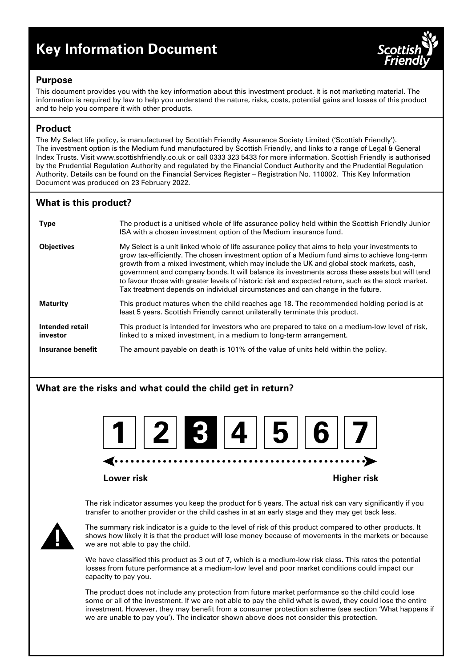# **Key Information Document**



### **Purpose**

This document provides you with the key information about this investment product. It is not marketing material. The information is required by law to help you understand the nature, risks, costs, potential gains and losses of this product and to help you compare it with other products.

# **Product**

The My Select life policy, is manufactured by Scottish Friendly Assurance Society Limited ('Scottish Friendly'). The investment option is the Medium fund manufactured by Scottish Friendly, and links to a range of Legal & General Index Trusts. Visit www.scottishfriendly.co.uk or call 0333 323 5433 for more information. Scottish Friendly is authorised by the Prudential Regulation Authority and regulated by the Financial Conduct Authority and the Prudential Regulation Authority. Details can be found on the Financial Services Register – Registration No. 110002. This Key Information Document was produced on 23 February 2022.

# **What is this product?**

| <b>Type</b>                 | The product is a unitised whole of life assurance policy held within the Scottish Friendly Junior<br>ISA with a chosen investment option of the Medium insurance fund.                                                                                                                                                                                                                                                                                                                                                                                                                    |
|-----------------------------|-------------------------------------------------------------------------------------------------------------------------------------------------------------------------------------------------------------------------------------------------------------------------------------------------------------------------------------------------------------------------------------------------------------------------------------------------------------------------------------------------------------------------------------------------------------------------------------------|
| <b>Objectives</b>           | My Select is a unit linked whole of life assurance policy that aims to help your investments to<br>grow tax-efficiently. The chosen investment option of a Medium fund aims to achieve long-term<br>growth from a mixed investment, which may include the UK and global stock markets, cash,<br>government and company bonds. It will balance its investments across these assets but will tend<br>to favour those with greater levels of historic risk and expected return, such as the stock market.<br>Tax treatment depends on individual circumstances and can change in the future. |
| <b>Maturity</b>             | This product matures when the child reaches age 18. The recommended holding period is at<br>least 5 years. Scottish Friendly cannot unilaterally terminate this product.                                                                                                                                                                                                                                                                                                                                                                                                                  |
| Intended retail<br>investor | This product is intended for investors who are prepared to take on a medium-low level of risk,<br>linked to a mixed investment, in a medium to long-term arrangement.                                                                                                                                                                                                                                                                                                                                                                                                                     |
| Insurance benefit           | The amount payable on death is 101% of the value of units held within the policy.                                                                                                                                                                                                                                                                                                                                                                                                                                                                                                         |

# **What are the risks and what could the child get in return?**



#### **Lower risk Higher risk**

The risk indicator assumes you keep the product for 5 years. The actual risk can vary significantly if you transfer to another provider or the child cashes in at an early stage and they may get back less.



The summary risk indicator is a guide to the level of risk of this product compared to other products. It shows how likely it is that the product will lose money because of movements in the markets or because we are not able to pay the child.

We have classified this product as 3 out of 7, which is a medium-low risk class. This rates the potential losses from future performance at a medium-low level and poor market conditions could impact our capacity to pay you.

The product does not include any protection from future market performance so the child could lose some or all of the investment. If we are not able to pay the child what is owed, they could lose the entire investment. However, they may benefit from a consumer protection scheme (see section 'What happens if we are unable to pay you'). The indicator shown above does not consider this protection.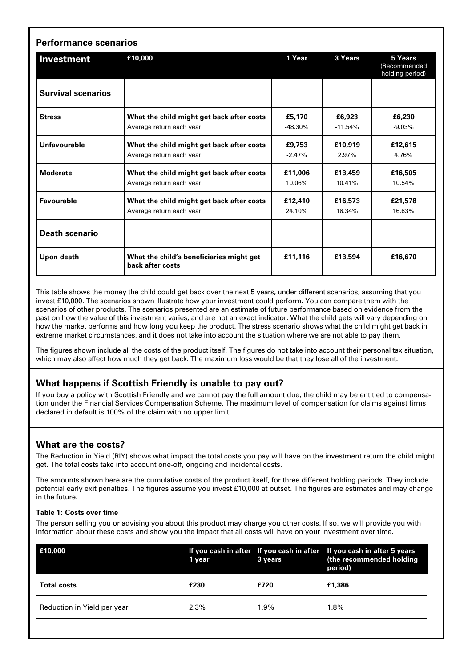| <b>Performance scenarios</b> |                                                                       |                     |                     |                                            |  |  |
|------------------------------|-----------------------------------------------------------------------|---------------------|---------------------|--------------------------------------------|--|--|
| Investment                   | £10,000                                                               | 1 Year              | 3 Years             | 5 Years<br>(Recommended<br>holding period) |  |  |
| <b>Survival scenarios</b>    |                                                                       |                     |                     |                                            |  |  |
| <b>Stress</b>                | What the child might get back after costs<br>Average return each year | £5,170<br>$-48.30%$ | £6,923<br>$-11.54%$ | £6,230<br>$-9.03%$                         |  |  |
| Unfavourable                 | What the child might get back after costs<br>Average return each year | £9,753<br>$-2.47%$  | £10,919<br>2.97%    | £12,615<br>4.76%                           |  |  |
| <b>Moderate</b>              | What the child might get back after costs<br>Average return each year | £11.006<br>10.06%   | £13,459<br>10.41%   | £16,505<br>10.54%                          |  |  |
| Favourable                   | What the child might get back after costs<br>Average return each year | £12,410<br>24.10%   | £16,573<br>18.34%   | £21,578<br>16.63%                          |  |  |
| <b>Death scenario</b>        |                                                                       |                     |                     |                                            |  |  |
| Upon death                   | What the child's beneficiaries might get<br>back after costs          | £11,116             | £13,594             | £16,670                                    |  |  |

This table shows the money the child could get back over the next 5 years, under different scenarios, assuming that you invest £10,000. The scenarios shown illustrate how your investment could perform. You can compare them with the scenarios of other products. The scenarios presented are an estimate of future performance based on evidence from the past on how the value of this investment varies, and are not an exact indicator. What the child gets will vary depending on how the market performs and how long you keep the product. The stress scenario shows what the child might get back in extreme market circumstances, and it does not take into account the situation where we are not able to pay them.

The figures shown include all the costs of the product itself. The figures do not take into account their personal tax situation, which may also affect how much they get back. The maximum loss would be that they lose all of the investment.

# **What happens if Scottish Friendly is unable to pay out?**

If you buy a policy with Scottish Friendly and we cannot pay the full amount due, the child may be entitled to compensation under the Financial Services Compensation Scheme. The maximum level of compensation for claims against firms declared in default is 100% of the claim with no upper limit.

# **What are the costs?**

The Reduction in Yield (RIY) shows what impact the total costs you pay will have on the investment return the child might get. The total costs take into account one-off, ongoing and incidental costs.

The amounts shown here are the cumulative costs of the product itself, for three different holding periods. They include potential early exit penalties. The figures assume you invest £10,000 at outset. The figures are estimates and may change in the future.

#### **Table 1: Costs over time**

The person selling you or advising you about this product may charge you other costs. If so, we will provide you with information about these costs and show you the impact that all costs will have on your investment over time.

| E10,000                     | 1 year  | 3 years | If you cash in after If you cash in after If you cash in after 5 years<br>(the recommended holding<br>period) |
|-----------------------------|---------|---------|---------------------------------------------------------------------------------------------------------------|
| <b>Total costs</b>          | £230    | £720    | £1.386                                                                                                        |
| Reduction in Yield per year | $2.3\%$ | 1.9%    | $1.8\%$                                                                                                       |